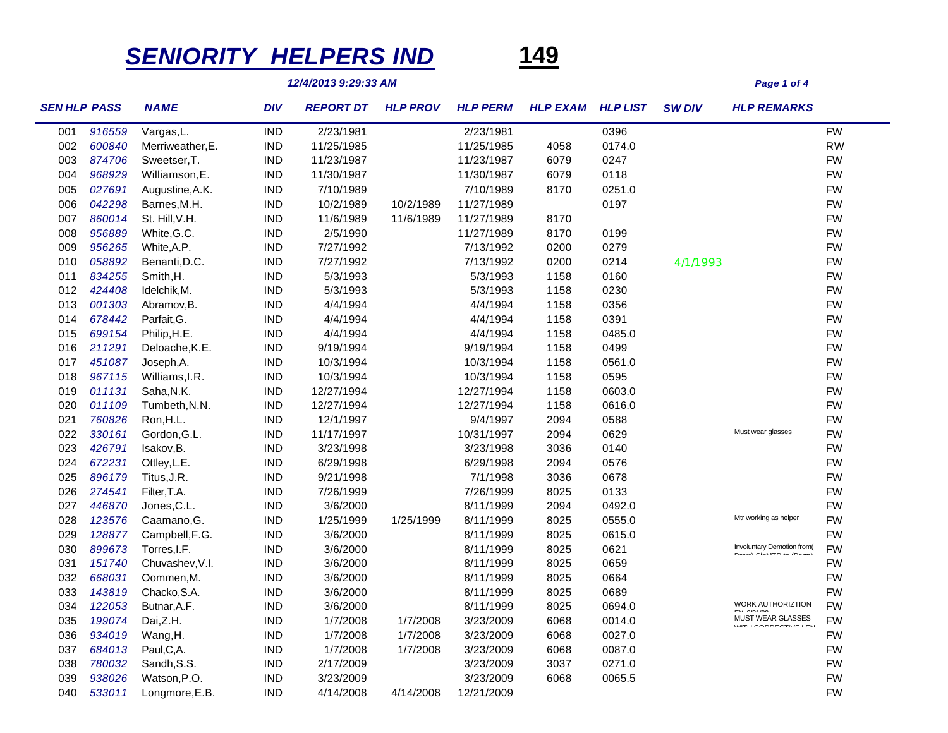## *SENIORITY HELPERS IND* **149**

*12/4/2013 9:29:33 AM Page 1 of 4*

| <b>SEN HLP PASS</b> |        | <b>NAME</b>      | <b>DIV</b> | <b>REPORT DT</b> | <b>HLP PROV</b> | <b>HLP PERM</b> | <b>HLP EXAM</b> | <b>HLP LIST</b> | <b>SW DIV</b> | <b>HLP REMARKS</b>                                       |           |
|---------------------|--------|------------------|------------|------------------|-----------------|-----------------|-----------------|-----------------|---------------|----------------------------------------------------------|-----------|
| 001                 | 916559 | Vargas, L.       | <b>IND</b> | 2/23/1981        |                 | 2/23/1981       |                 | 0396            |               |                                                          | <b>FW</b> |
| 002                 | 600840 | Merriweather, E. | <b>IND</b> | 11/25/1985       |                 | 11/25/1985      | 4058            | 0174.0          |               |                                                          | <b>RW</b> |
| 003                 | 874706 | Sweetser, T.     | <b>IND</b> | 11/23/1987       |                 | 11/23/1987      | 6079            | 0247            |               |                                                          | <b>FW</b> |
| 004                 | 968929 | Williamson, E.   | <b>IND</b> | 11/30/1987       |                 | 11/30/1987      | 6079            | 0118            |               |                                                          | <b>FW</b> |
| 005                 | 027691 | Augustine, A.K.  | <b>IND</b> | 7/10/1989        |                 | 7/10/1989       | 8170            | 0251.0          |               |                                                          | <b>FW</b> |
| 006                 | 042298 | Barnes, M.H.     | <b>IND</b> | 10/2/1989        | 10/2/1989       | 11/27/1989      |                 | 0197            |               |                                                          | <b>FW</b> |
| 007                 | 860014 | St. Hill, V.H.   | <b>IND</b> | 11/6/1989        | 11/6/1989       | 11/27/1989      | 8170            |                 |               |                                                          | <b>FW</b> |
| 008                 | 956889 | White, G.C.      | <b>IND</b> | 2/5/1990         |                 | 11/27/1989      | 8170            | 0199            |               |                                                          | <b>FW</b> |
| 009                 | 956265 | White, A.P.      | <b>IND</b> | 7/27/1992        |                 | 7/13/1992       | 0200            | 0279            |               |                                                          | <b>FW</b> |
| 010                 | 058892 | Benanti, D.C.    | <b>IND</b> | 7/27/1992        |                 | 7/13/1992       | 0200            | 0214            | 4/1/1993      |                                                          | <b>FW</b> |
| 011                 | 834255 | Smith, H.        | <b>IND</b> | 5/3/1993         |                 | 5/3/1993        | 1158            | 0160            |               |                                                          | <b>FW</b> |
| 012                 | 424408 | Idelchik, M.     | <b>IND</b> | 5/3/1993         |                 | 5/3/1993        | 1158            | 0230            |               |                                                          | <b>FW</b> |
| 013                 | 001303 | Abramov, B.      | <b>IND</b> | 4/4/1994         |                 | 4/4/1994        | 1158            | 0356            |               |                                                          | <b>FW</b> |
| 014                 | 678442 | Parfait, G.      | <b>IND</b> | 4/4/1994         |                 | 4/4/1994        | 1158            | 0391            |               |                                                          | <b>FW</b> |
| 015                 | 699154 | Philip, H.E.     | <b>IND</b> | 4/4/1994         |                 | 4/4/1994        | 1158            | 0485.0          |               |                                                          | <b>FW</b> |
| 016                 | 211291 | Deloache, K.E.   | <b>IND</b> | 9/19/1994        |                 | 9/19/1994       | 1158            | 0499            |               |                                                          | <b>FW</b> |
| 017                 | 451087 | Joseph, A.       | <b>IND</b> | 10/3/1994        |                 | 10/3/1994       | 1158            | 0561.0          |               |                                                          | <b>FW</b> |
| 018                 | 967115 | Williams, I.R.   | <b>IND</b> | 10/3/1994        |                 | 10/3/1994       | 1158            | 0595            |               |                                                          | <b>FW</b> |
| 019                 | 011131 | Saha, N.K.       | <b>IND</b> | 12/27/1994       |                 | 12/27/1994      | 1158            | 0603.0          |               |                                                          | <b>FW</b> |
| 020                 | 011109 | Tumbeth, N.N.    | <b>IND</b> | 12/27/1994       |                 | 12/27/1994      | 1158            | 0616.0          |               |                                                          | <b>FW</b> |
| 021                 | 760826 | Ron, H.L.        | <b>IND</b> | 12/1/1997        |                 | 9/4/1997        | 2094            | 0588            |               |                                                          | <b>FW</b> |
| 022                 | 330161 | Gordon, G.L.     | <b>IND</b> | 11/17/1997       |                 | 10/31/1997      | 2094            | 0629            |               | Must wear glasses                                        | <b>FW</b> |
| 023                 | 426791 | Isakov, B.       | <b>IND</b> | 3/23/1998        |                 | 3/23/1998       | 3036            | 0140            |               |                                                          | <b>FW</b> |
| 024                 | 672231 | Ottley, L.E.     | <b>IND</b> | 6/29/1998        |                 | 6/29/1998       | 2094            | 0576            |               |                                                          | <b>FW</b> |
| 025                 | 896179 | Titus, J.R.      | <b>IND</b> | 9/21/1998        |                 | 7/1/1998        | 3036            | 0678            |               |                                                          | <b>FW</b> |
| 026                 | 274541 | Filter, T.A.     | <b>IND</b> | 7/26/1999        |                 | 7/26/1999       | 8025            | 0133            |               |                                                          | <b>FW</b> |
| 027                 | 446870 | Jones, C.L.      | <b>IND</b> | 3/6/2000         |                 | 8/11/1999       | 2094            | 0492.0          |               |                                                          | <b>FW</b> |
| 028                 | 123576 | Caamano, G.      | <b>IND</b> | 1/25/1999        | 1/25/1999       | 8/11/1999       | 8025            | 0555.0          |               | Mtr working as helper                                    | <b>FW</b> |
| 029                 | 128877 | Campbell, F.G.   | <b>IND</b> | 3/6/2000         |                 | 8/11/1999       | 8025            | 0615.0          |               |                                                          | <b>FW</b> |
| 030                 | 899673 | Torres, I.F.     | <b>IND</b> | 3/6/2000         |                 | 8/11/1999       | 8025            | 0621            |               | Involuntary Demotion from(<br><b>BELLY OLIMPBILE IB.</b> | <b>FW</b> |
| 031                 | 151740 | Chuvashev, V.I.  | <b>IND</b> | 3/6/2000         |                 | 8/11/1999       | 8025            | 0659            |               |                                                          | <b>FW</b> |
| 032                 | 668031 | Oommen, M.       | <b>IND</b> | 3/6/2000         |                 | 8/11/1999       | 8025            | 0664            |               |                                                          | <b>FW</b> |
| 033                 | 143819 | Chacko, S.A.     | <b>IND</b> | 3/6/2000         |                 | 8/11/1999       | 8025            | 0689            |               |                                                          | <b>FW</b> |
| 034                 | 122053 | Butnar, A.F.     | <b>IND</b> | 3/6/2000         |                 | 8/11/1999       | 8025            | 0694.0          |               | <b>WORK AUTHORIZTION</b><br>FV OBJAC                     | <b>FW</b> |
| 035                 | 199074 | Dai,Z.H.         | <b>IND</b> | 1/7/2008         | 1/7/2008        | 3/23/2009       | 6068            | 0014.0          |               | <b>MUST WEAR GLASSES</b><br>WELLOODDEOTHELE              | <b>FW</b> |
| 036                 | 934019 | Wang, H.         | <b>IND</b> | 1/7/2008         | 1/7/2008        | 3/23/2009       | 6068            | 0027.0          |               |                                                          | <b>FW</b> |
| 037                 | 684013 | Paul, C, A.      | <b>IND</b> | 1/7/2008         | 1/7/2008        | 3/23/2009       | 6068            | 0087.0          |               |                                                          | <b>FW</b> |
| 038                 | 780032 | Sandh, S.S.      | <b>IND</b> | 2/17/2009        |                 | 3/23/2009       | 3037            | 0271.0          |               |                                                          | <b>FW</b> |
| 039                 | 938026 | Watson, P.O.     | <b>IND</b> | 3/23/2009        |                 | 3/23/2009       | 6068            | 0065.5          |               |                                                          | <b>FW</b> |
| 040                 | 533011 | Longmore, E.B.   | <b>IND</b> | 4/14/2008        | 4/14/2008       | 12/21/2009      |                 |                 |               |                                                          | <b>FW</b> |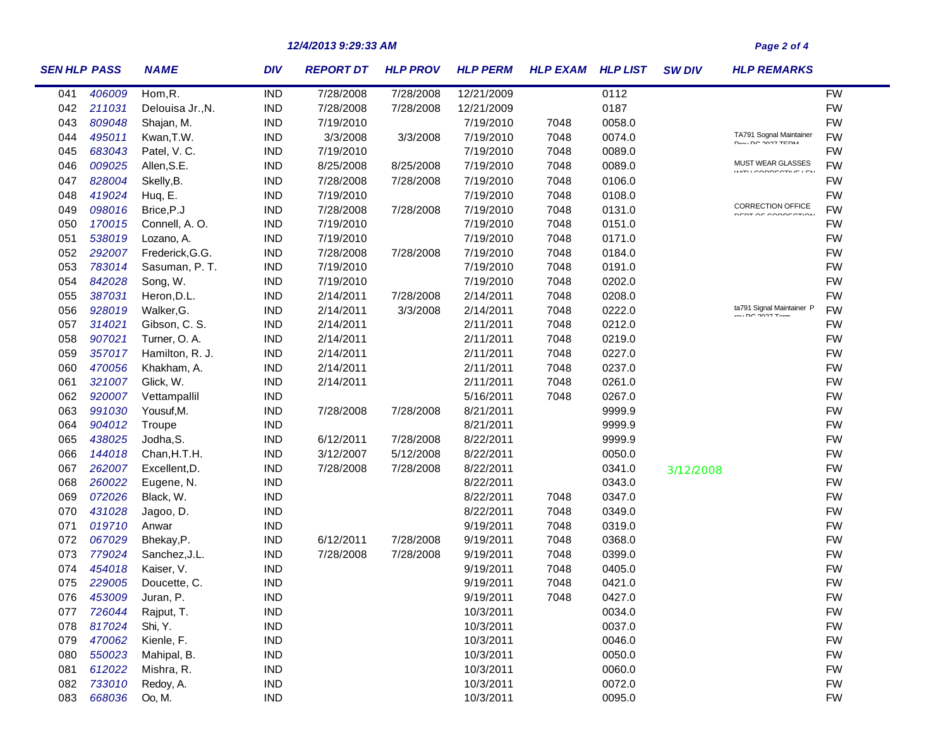## *12/4/2013 9:29:33 AM Page 2 of 4*

| <b>SEN HLP PASS</b> |        | <b>NAME</b>      | <b>DIV</b> | <b>REPORT DT</b> | <b>HLP PROV</b> | <b>HLP PERM</b> | <b>HLP EXAM</b> | <b>HLP LIST</b> | <b>SW DIV</b> | <b>HLP REMARKS</b>                                    |           |
|---------------------|--------|------------------|------------|------------------|-----------------|-----------------|-----------------|-----------------|---------------|-------------------------------------------------------|-----------|
| 041                 | 406009 | Hom, R.          | <b>IND</b> | 7/28/2008        | 7/28/2008       | 12/21/2009      |                 | 0112            |               |                                                       | <b>FW</b> |
| 042                 | 211031 | Delouisa Jr., N. | <b>IND</b> | 7/28/2008        | 7/28/2008       | 12/21/2009      |                 | 0187            |               |                                                       | <b>FW</b> |
| 043                 | 809048 | Shajan, M.       | <b>IND</b> | 7/19/2010        |                 | 7/19/2010       | 7048            | 0058.0          |               |                                                       | <b>FW</b> |
| 044                 | 495011 | Kwan, T.W.       | <b>IND</b> | 3/3/2008         | 3/3/2008        | 7/19/2010       | 7048            | 0074.0          |               | TA791 Sognal Maintainer<br><b>DULL DO 0007 TEDIA</b>  | <b>FW</b> |
| 045                 | 683043 | Patel, V.C.      | <b>IND</b> | 7/19/2010        |                 | 7/19/2010       | 7048            | 0089.0          |               |                                                       | <b>FW</b> |
| 046                 | 009025 | Allen, S.E.      | <b>IND</b> | 8/25/2008        | 8/25/2008       | 7/19/2010       | 7048            | 0089.0          |               | MUST WEAR GLASSES<br>MITH CODDECTIVE LEM              | <b>FW</b> |
| 047                 | 828004 | Skelly, B.       | <b>IND</b> | 7/28/2008        | 7/28/2008       | 7/19/2010       | 7048            | 0106.0          |               |                                                       | <b>FW</b> |
| 048                 | 419024 | Huq, E.          | <b>IND</b> | 7/19/2010        |                 | 7/19/2010       | 7048            | 0108.0          |               |                                                       | <b>FW</b> |
| 049                 | 098016 | Brice, P.J       | <b>IND</b> | 7/28/2008        | 7/28/2008       | 7/19/2010       | 7048            | 0131.0          |               | <b>CORRECTION OFFICE</b><br><b>DEDT OF CODDECTION</b> | <b>FW</b> |
| 050                 | 170015 | Connell, A.O.    | <b>IND</b> | 7/19/2010        |                 | 7/19/2010       | 7048            | 0151.0          |               |                                                       | <b>FW</b> |
| 051                 | 538019 | Lozano, A.       | <b>IND</b> | 7/19/2010        |                 | 7/19/2010       | 7048            | 0171.0          |               |                                                       | <b>FW</b> |
| 052                 | 292007 | Frederick, G.G.  | <b>IND</b> | 7/28/2008        | 7/28/2008       | 7/19/2010       | 7048            | 0184.0          |               |                                                       | <b>FW</b> |
| 053                 | 783014 | Sasuman, P. T.   | <b>IND</b> | 7/19/2010        |                 | 7/19/2010       | 7048            | 0191.0          |               |                                                       | <b>FW</b> |
| 054                 | 842028 | Song, W.         | <b>IND</b> | 7/19/2010        |                 | 7/19/2010       | 7048            | 0202.0          |               |                                                       | <b>FW</b> |
| 055                 | 387031 | Heron, D.L.      | <b>IND</b> | 2/14/2011        | 7/28/2008       | 2/14/2011       | 7048            | 0208.0          |               |                                                       | <b>FW</b> |
| 056                 | 928019 | Walker, G.       | <b>IND</b> | 2/14/2011        | 3/3/2008        | 2/14/2011       | 7048            | 0222.0          |               | ta791 Signal Maintainer P<br>$\cdots$ no $\sim$       | <b>FW</b> |
| 057                 | 314021 | Gibson, C. S.    | <b>IND</b> | 2/14/2011        |                 | 2/11/2011       | 7048            | 0212.0          |               |                                                       | <b>FW</b> |
| 058                 | 907021 | Turner, O. A.    | <b>IND</b> | 2/14/2011        |                 | 2/11/2011       | 7048            | 0219.0          |               |                                                       | <b>FW</b> |
| 059                 | 357017 | Hamilton, R. J.  | <b>IND</b> | 2/14/2011        |                 | 2/11/2011       | 7048            | 0227.0          |               |                                                       | <b>FW</b> |
| 060                 | 470056 | Khakham, A.      | <b>IND</b> | 2/14/2011        |                 | 2/11/2011       | 7048            | 0237.0          |               |                                                       | <b>FW</b> |
| 061                 | 321007 | Glick, W.        | <b>IND</b> | 2/14/2011        |                 | 2/11/2011       | 7048            | 0261.0          |               |                                                       | <b>FW</b> |
| 062                 | 920007 | Vettampallil     | <b>IND</b> |                  |                 | 5/16/2011       | 7048            | 0267.0          |               |                                                       | <b>FW</b> |
| 063                 | 991030 | Yousuf, M.       | <b>IND</b> | 7/28/2008        | 7/28/2008       | 8/21/2011       |                 | 9999.9          |               |                                                       | <b>FW</b> |
| 064                 | 904012 | Troupe           | <b>IND</b> |                  |                 | 8/21/2011       |                 | 9999.9          |               |                                                       | <b>FW</b> |
| 065                 | 438025 | Jodha, S.        | <b>IND</b> | 6/12/2011        | 7/28/2008       | 8/22/2011       |                 | 9999.9          |               |                                                       | <b>FW</b> |
| 066                 | 144018 | Chan, H.T.H.     | <b>IND</b> | 3/12/2007        | 5/12/2008       | 8/22/2011       |                 | 0050.0          |               |                                                       | <b>FW</b> |
| 067                 | 262007 | Excellent, D.    | <b>IND</b> | 7/28/2008        | 7/28/2008       | 8/22/2011       |                 | 0341.0          | 3/12/2008     |                                                       | <b>FW</b> |
| 068                 | 260022 | Eugene, N.       | <b>IND</b> |                  |                 | 8/22/2011       |                 | 0343.0          |               |                                                       | <b>FW</b> |
| 069                 | 072026 | Black, W.        | <b>IND</b> |                  |                 | 8/22/2011       | 7048            | 0347.0          |               |                                                       | <b>FW</b> |
| 070                 | 431028 | Jagoo, D.        | <b>IND</b> |                  |                 | 8/22/2011       | 7048            | 0349.0          |               |                                                       | <b>FW</b> |
| 071                 | 019710 | Anwar            | <b>IND</b> |                  |                 | 9/19/2011       | 7048            | 0319.0          |               |                                                       | <b>FW</b> |
| 072                 | 067029 | Bhekay, P.       | <b>IND</b> | 6/12/2011        | 7/28/2008       | 9/19/2011       | 7048            | 0368.0          |               |                                                       | <b>FW</b> |
| 073                 | 779024 | Sanchez, J.L.    | <b>IND</b> | 7/28/2008        | 7/28/2008       | 9/19/2011       | 7048            | 0399.0          |               |                                                       | <b>FW</b> |
| 074                 | 454018 | Kaiser, V.       | <b>IND</b> |                  |                 | 9/19/2011       | 7048            | 0405.0          |               |                                                       | <b>FW</b> |
| 075                 | 229005 | Doucette, C.     | <b>IND</b> |                  |                 | 9/19/2011       | 7048            | 0421.0          |               |                                                       | <b>FW</b> |
| 076                 | 453009 | Juran, P.        | <b>IND</b> |                  |                 | 9/19/2011       | 7048            | 0427.0          |               |                                                       | <b>FW</b> |
| 077                 | 726044 | Rajput, T.       | <b>IND</b> |                  |                 | 10/3/2011       |                 | 0034.0          |               |                                                       | <b>FW</b> |
| 078                 | 817024 | Shi, Y.          | <b>IND</b> |                  |                 | 10/3/2011       |                 | 0037.0          |               |                                                       | <b>FW</b> |
| 079                 | 470062 | Kienle, F.       | <b>IND</b> |                  |                 | 10/3/2011       |                 | 0046.0          |               |                                                       | <b>FW</b> |
| 080                 | 550023 | Mahipal, B.      | <b>IND</b> |                  |                 | 10/3/2011       |                 | 0050.0          |               |                                                       | <b>FW</b> |
| 081                 | 612022 | Mishra, R.       | <b>IND</b> |                  |                 | 10/3/2011       |                 | 0060.0          |               |                                                       | <b>FW</b> |
| 082                 | 733010 | Redoy, A.        | <b>IND</b> |                  |                 | 10/3/2011       |                 | 0072.0          |               |                                                       | <b>FW</b> |
| 083                 | 668036 | Oo, M.           | <b>IND</b> |                  |                 | 10/3/2011       |                 | 0095.0          |               |                                                       | <b>FW</b> |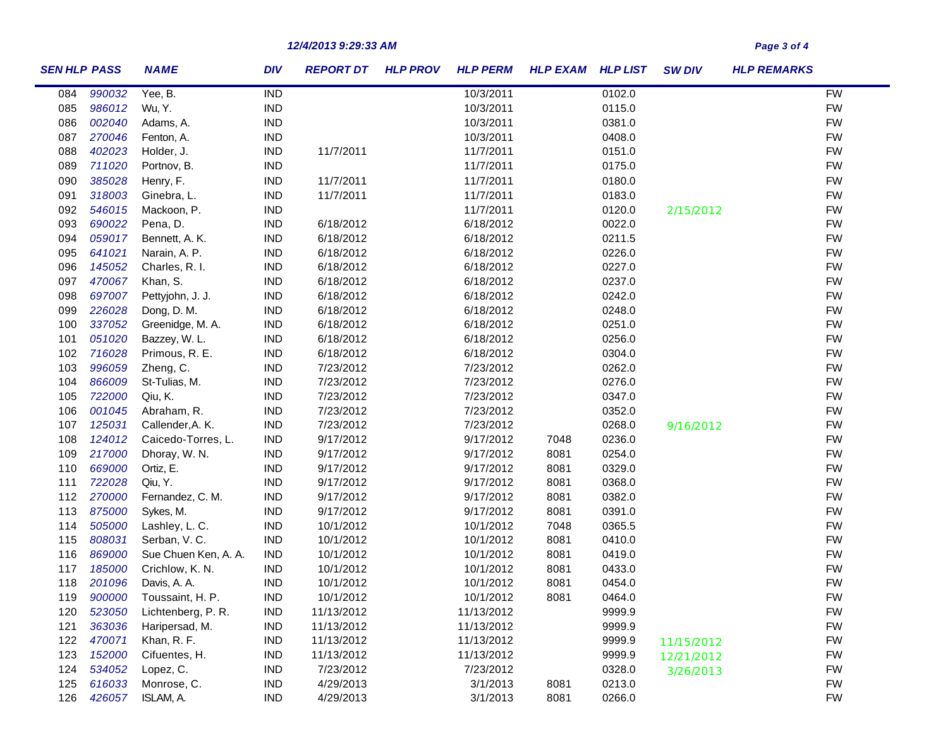## *12/4/2013 9:29:33 AM Page 3 of 4*

| <b>SEN HLP PASS</b> |        | <b>NAME</b>          | <b>DIV</b> | <b>REPORT DT</b> | <b>HLP PROV</b> | <b>HLP PERM</b> | <b>HLP EXAM HLP LIST</b> |        | <b>SW DIV</b> | <b>HLP REMARKS</b> |  |
|---------------------|--------|----------------------|------------|------------------|-----------------|-----------------|--------------------------|--------|---------------|--------------------|--|
| 084                 | 990032 | Yee, B.              | <b>IND</b> |                  |                 | 10/3/2011       |                          | 0102.0 |               | <b>FW</b>          |  |
| 085                 | 986012 | Wu, Y.               | <b>IND</b> |                  |                 | 10/3/2011       |                          | 0115.0 |               | <b>FW</b>          |  |
| 086                 | 002040 | Adams, A.            | <b>IND</b> |                  |                 | 10/3/2011       |                          | 0381.0 |               | <b>FW</b>          |  |
| 087                 | 270046 | Fenton, A.           | <b>IND</b> |                  |                 | 10/3/2011       |                          | 0408.0 |               | <b>FW</b>          |  |
| 088                 | 402023 | Holder, J.           | <b>IND</b> | 11/7/2011        |                 | 11/7/2011       |                          | 0151.0 |               | <b>FW</b>          |  |
| 089                 | 711020 | Portnov, B.          | <b>IND</b> |                  |                 | 11/7/2011       |                          | 0175.0 |               | <b>FW</b>          |  |
| 090                 | 385028 | Henry, F.            | <b>IND</b> | 11/7/2011        |                 | 11/7/2011       |                          | 0180.0 |               | <b>FW</b>          |  |
| 091                 | 318003 | Ginebra, L.          | <b>IND</b> | 11/7/2011        |                 | 11/7/2011       |                          | 0183.0 |               | <b>FW</b>          |  |
| 092                 | 546015 | Mackoon, P.          | <b>IND</b> |                  |                 | 11/7/2011       |                          | 0120.0 | 2/15/2012     | <b>FW</b>          |  |
| 093                 | 690022 | Pena, D.             | <b>IND</b> | 6/18/2012        |                 | 6/18/2012       |                          | 0022.0 |               | <b>FW</b>          |  |
| 094                 | 059017 | Bennett, A. K.       | <b>IND</b> | 6/18/2012        |                 | 6/18/2012       |                          | 0211.5 |               | <b>FW</b>          |  |
| 095                 | 641021 | Narain, A. P.        | <b>IND</b> | 6/18/2012        |                 | 6/18/2012       |                          | 0226.0 |               | <b>FW</b>          |  |
| 096                 | 145052 | Charles, R. I.       | <b>IND</b> | 6/18/2012        |                 | 6/18/2012       |                          | 0227.0 |               | <b>FW</b>          |  |
| 097                 | 470067 | Khan, S.             | <b>IND</b> | 6/18/2012        |                 | 6/18/2012       |                          | 0237.0 |               | <b>FW</b>          |  |
| 098                 | 697007 | Pettyjohn, J. J.     | <b>IND</b> | 6/18/2012        |                 | 6/18/2012       |                          | 0242.0 |               | <b>FW</b>          |  |
| 099                 | 226028 | Dong, D. M.          | <b>IND</b> | 6/18/2012        |                 | 6/18/2012       |                          | 0248.0 |               | <b>FW</b>          |  |
| 100                 | 337052 | Greenidge, M. A.     | <b>IND</b> | 6/18/2012        |                 | 6/18/2012       |                          | 0251.0 |               | <b>FW</b>          |  |
| 101                 | 051020 | Bazzey, W. L.        | <b>IND</b> | 6/18/2012        |                 | 6/18/2012       |                          | 0256.0 |               | <b>FW</b>          |  |
| 102                 | 716028 | Primous, R. E.       | <b>IND</b> | 6/18/2012        |                 | 6/18/2012       |                          | 0304.0 |               | <b>FW</b>          |  |
| 103                 | 996059 | Zheng, C.            | <b>IND</b> | 7/23/2012        |                 | 7/23/2012       |                          | 0262.0 |               | <b>FW</b>          |  |
| 104                 | 866009 | St-Tulias, M.        | <b>IND</b> | 7/23/2012        |                 | 7/23/2012       |                          | 0276.0 |               | <b>FW</b>          |  |
| 105                 | 722000 | Qiu, K.              | <b>IND</b> | 7/23/2012        |                 | 7/23/2012       |                          | 0347.0 |               | <b>FW</b>          |  |
| 106                 | 001045 | Abraham, R.          | <b>IND</b> | 7/23/2012        |                 | 7/23/2012       |                          | 0352.0 |               | <b>FW</b>          |  |
| 107                 | 125031 | Callender, A. K.     | <b>IND</b> | 7/23/2012        |                 | 7/23/2012       |                          | 0268.0 | 9/16/2012     | <b>FW</b>          |  |
| 108                 | 124012 | Caicedo-Torres, L.   | <b>IND</b> | 9/17/2012        |                 | 9/17/2012       | 7048                     | 0236.0 |               | <b>FW</b>          |  |
| 109                 | 217000 | Dhoray, W. N.        | <b>IND</b> | 9/17/2012        |                 | 9/17/2012       | 8081                     | 0254.0 |               | <b>FW</b>          |  |
| 110                 | 669000 | Ortiz, E.            | <b>IND</b> | 9/17/2012        |                 | 9/17/2012       | 8081                     | 0329.0 |               | <b>FW</b>          |  |
| 111                 | 722028 | Qiu, Y.              | <b>IND</b> | 9/17/2012        |                 | 9/17/2012       | 8081                     | 0368.0 |               | <b>FW</b>          |  |
| 112                 | 270000 | Fernandez, C. M.     | <b>IND</b> | 9/17/2012        |                 | 9/17/2012       | 8081                     | 0382.0 |               | <b>FW</b>          |  |
| 113                 | 875000 | Sykes, M.            | <b>IND</b> | 9/17/2012        |                 | 9/17/2012       | 8081                     | 0391.0 |               | <b>FW</b>          |  |
| 114                 | 505000 | Lashley, L. C.       | <b>IND</b> | 10/1/2012        |                 | 10/1/2012       | 7048                     | 0365.5 |               | <b>FW</b>          |  |
| 115                 | 808031 | Serban, V. C.        | <b>IND</b> | 10/1/2012        |                 | 10/1/2012       | 8081                     | 0410.0 |               | <b>FW</b>          |  |
| 116                 | 869000 | Sue Chuen Ken, A. A. | <b>IND</b> | 10/1/2012        |                 | 10/1/2012       | 8081                     | 0419.0 |               | <b>FW</b>          |  |
| 117                 | 185000 | Crichlow, K. N.      | <b>IND</b> | 10/1/2012        |                 | 10/1/2012       | 8081                     | 0433.0 |               | <b>FW</b>          |  |
| 118                 | 201096 | Davis, A. A.         | <b>IND</b> | 10/1/2012        |                 | 10/1/2012       | 8081                     | 0454.0 |               | <b>FW</b>          |  |
| 119                 | 900000 | Toussaint, H. P.     | <b>IND</b> | 10/1/2012        |                 | 10/1/2012       | 8081                     | 0464.0 |               | <b>FW</b>          |  |
| 120                 | 523050 | Lichtenberg, P. R.   | IND        | 11/13/2012       |                 | 11/13/2012      |                          | 9999.9 |               | <b>FW</b>          |  |
| 121                 | 363036 | Haripersad, M.       | <b>IND</b> | 11/13/2012       |                 | 11/13/2012      |                          | 9999.9 |               | <b>FW</b>          |  |
| 122                 | 470071 | Khan, R. F.          | <b>IND</b> | 11/13/2012       |                 | 11/13/2012      |                          | 9999.9 | 11/15/2012    | <b>FW</b>          |  |
| 123                 | 152000 | Cifuentes, H.        | <b>IND</b> | 11/13/2012       |                 | 11/13/2012      |                          | 9999.9 | 12/21/2012    | <b>FW</b>          |  |
| 124                 | 534052 | Lopez, C.            | <b>IND</b> | 7/23/2012        |                 | 7/23/2012       |                          | 0328.0 | 3/26/2013     | <b>FW</b>          |  |
| 125                 | 616033 | Monrose, C.          | <b>IND</b> | 4/29/2013        |                 | 3/1/2013        | 8081                     | 0213.0 |               | <b>FW</b>          |  |
| 126                 | 426057 | ISLAM, A.            | <b>IND</b> | 4/29/2013        |                 | 3/1/2013        | 8081                     | 0266.0 |               | <b>FW</b>          |  |